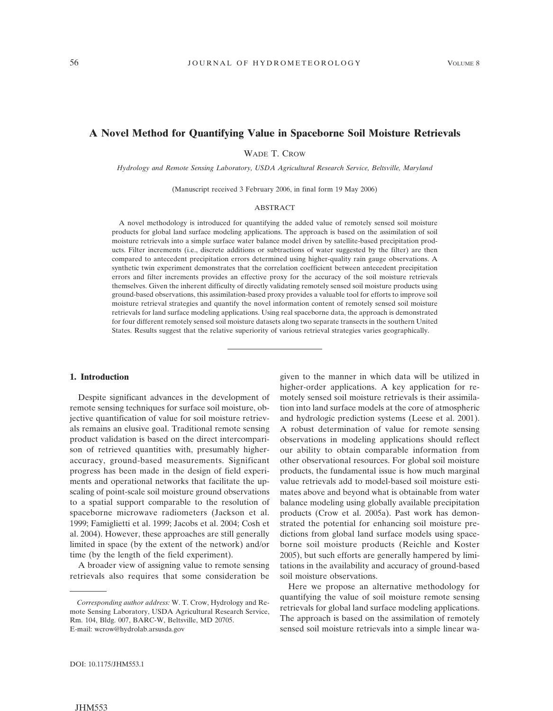# **A Novel Method for Quantifying Value in Spaceborne Soil Moisture Retrievals**

WADE T. CROW

*Hydrology and Remote Sensing Laboratory, USDA Agricultural Research Service, Beltsville, Maryland*

(Manuscript received 3 February 2006, in final form 19 May 2006)

#### ABSTRACT

A novel methodology is introduced for quantifying the added value of remotely sensed soil moisture products for global land surface modeling applications. The approach is based on the assimilation of soil moisture retrievals into a simple surface water balance model driven by satellite-based precipitation products. Filter increments (i.e., discrete additions or subtractions of water suggested by the filter) are then compared to antecedent precipitation errors determined using higher-quality rain gauge observations. A synthetic twin experiment demonstrates that the correlation coefficient between antecedent precipitation errors and filter increments provides an effective proxy for the accuracy of the soil moisture retrievals themselves. Given the inherent difficulty of directly validating remotely sensed soil moisture products using ground-based observations, this assimilation-based proxy provides a valuable tool for efforts to improve soil moisture retrieval strategies and quantify the novel information content of remotely sensed soil moisture retrievals for land surface modeling applications. Using real spaceborne data, the approach is demonstrated for four different remotely sensed soil moisture datasets along two separate transects in the southern United States. Results suggest that the relative superiority of various retrieval strategies varies geographically.

# **1. Introduction**

Despite significant advances in the development of remote sensing techniques for surface soil moisture, objective quantification of value for soil moisture retrievals remains an elusive goal. Traditional remote sensing product validation is based on the direct intercomparison of retrieved quantities with, presumably higheraccuracy, ground-based measurements. Significant progress has been made in the design of field experiments and operational networks that facilitate the upscaling of point-scale soil moisture ground observations to a spatial support comparable to the resolution of spaceborne microwave radiometers (Jackson et al. 1999; Famiglietti et al. 1999; Jacobs et al. 2004; Cosh et al. 2004). However, these approaches are still generally limited in space (by the extent of the network) and/or time (by the length of the field experiment).

A broader view of assigning value to remote sensing retrievals also requires that some consideration be

given to the manner in which data will be utilized in higher-order applications. A key application for remotely sensed soil moisture retrievals is their assimilation into land surface models at the core of atmospheric and hydrologic prediction systems (Leese et al. 2001). A robust determination of value for remote sensing observations in modeling applications should reflect our ability to obtain comparable information from other observational resources. For global soil moisture products, the fundamental issue is how much marginal value retrievals add to model-based soil moisture estimates above and beyond what is obtainable from water balance modeling using globally available precipitation products (Crow et al. 2005a). Past work has demonstrated the potential for enhancing soil moisture predictions from global land surface models using spaceborne soil moisture products (Reichle and Koster 2005), but such efforts are generally hampered by limitations in the availability and accuracy of ground-based soil moisture observations.

Here we propose an alternative methodology for quantifying the value of soil moisture remote sensing retrievals for global land surface modeling applications. The approach is based on the assimilation of remotely sensed soil moisture retrievals into a simple linear wa-

*Corresponding author address:* W. T. Crow, Hydrology and Remote Sensing Laboratory, USDA Agricultural Research Service, Rm. 104, Bldg. 007, BARC-W, Beltsville, MD 20705. E-mail: wcrow@hydrolab.arsusda.gov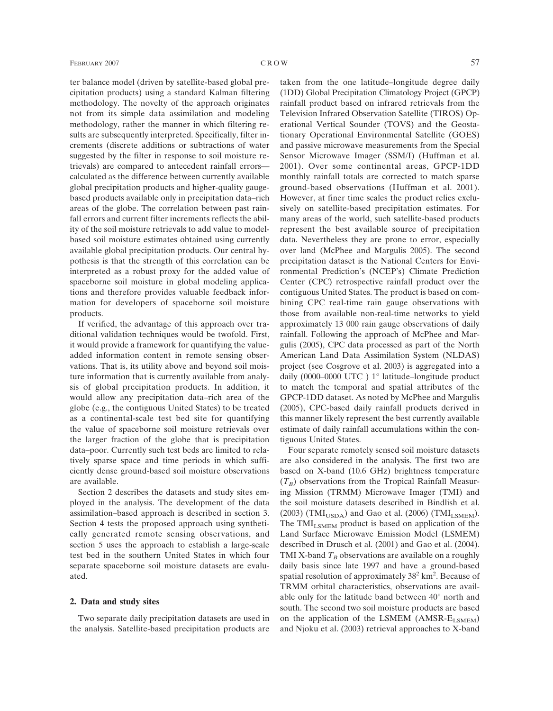ter balance model (driven by satellite-based global precipitation products) using a standard Kalman filtering methodology. The novelty of the approach originates not from its simple data assimilation and modeling methodology, rather the manner in which filtering results are subsequently interpreted. Specifically, filter increments (discrete additions or subtractions of water suggested by the filter in response to soil moisture retrievals) are compared to antecedent rainfall errors calculated as the difference between currently available global precipitation products and higher-quality gaugebased products available only in precipitation data–rich areas of the globe. The correlation between past rainfall errors and current filter increments reflects the ability of the soil moisture retrievals to add value to modelbased soil moisture estimates obtained using currently available global precipitation products. Our central hypothesis is that the strength of this correlation can be interpreted as a robust proxy for the added value of spaceborne soil moisture in global modeling applications and therefore provides valuable feedback information for developers of spaceborne soil moisture products.

If verified, the advantage of this approach over traditional validation techniques would be twofold. First, it would provide a framework for quantifying the valueadded information content in remote sensing observations. That is, its utility above and beyond soil moisture information that is currently available from analysis of global precipitation products. In addition, it would allow any precipitation data–rich area of the globe (e.g., the contiguous United States) to be treated as a continental-scale test bed site for quantifying the value of spaceborne soil moisture retrievals over the larger fraction of the globe that is precipitation data–poor. Currently such test beds are limited to relatively sparse space and time periods in which sufficiently dense ground-based soil moisture observations are available.

Section 2 describes the datasets and study sites employed in the analysis. The development of the data assimilation–based approach is described in section 3. Section 4 tests the proposed approach using synthetically generated remote sensing observations, and section 5 uses the approach to establish a large-scale test bed in the southern United States in which four separate spaceborne soil moisture datasets are evaluated.

## **2. Data and study sites**

Two separate daily precipitation datasets are used in the analysis. Satellite-based precipitation products are

taken from the one latitude–longitude degree daily (1DD) Global Precipitation Climatology Project (GPCP) rainfall product based on infrared retrievals from the Television Infrared Observation Satellite (TIROS) Operational Vertical Sounder (TOVS) and the Geostationary Operational Environmental Satellite (GOES) and passive microwave measurements from the Special Sensor Microwave Imager (SSM/I) (Huffman et al. 2001). Over some continental areas, GPCP-1DD monthly rainfall totals are corrected to match sparse ground-based observations (Huffman et al. 2001). However, at finer time scales the product relies exclusively on satellite-based precipitation estimates. For many areas of the world, such satellite-based products represent the best available source of precipitation data. Nevertheless they are prone to error, especially over land (McPhee and Margulis 2005). The second precipitation dataset is the National Centers for Envi-

ronmental Prediction's (NCEP's) Climate Prediction Center (CPC) retrospective rainfall product over the contiguous United States. The product is based on combining CPC real-time rain gauge observations with those from available non-real-time networks to yield approximately 13 000 rain gauge observations of daily rainfall. Following the approach of McPhee and Margulis (2005), CPC data processed as part of the North American Land Data Assimilation System (NLDAS) project (see Cosgrove et al. 2003) is aggregated into a daily (0000–0000 UTC ) 1° latitude–longitude product to match the temporal and spatial attributes of the GPCP-1DD dataset. As noted by McPhee and Margulis (2005), CPC-based daily rainfall products derived in this manner likely represent the best currently available estimate of daily rainfall accumulations within the contiguous United States.

Four separate remotely sensed soil moisture datasets are also considered in the analysis. The first two are based on X-band (10.6 GHz) brightness temperature  $(T_B)$  observations from the Tropical Rainfall Measuring Mission (TRMM) Microwave Imager (TMI) and the soil moisture datasets described in Bindlish et al.  $(2003)$  (TMI<sub>USDA</sub>) and Gao et al. (2006) (TMI<sub>LSMEM</sub>). The  $\text{TMI}_{\text{LSMEM}}$  product is based on application of the Land Surface Microwave Emission Model (LSMEM) described in Drusch et al. (2001) and Gao et al. (2004). TMI X-band  $T_B$  observations are available on a roughly daily basis since late 1997 and have a ground-based spatial resolution of approximately  $38^2$  km<sup>2</sup>. Because of TRMM orbital characteristics, observations are available only for the latitude band between 40° north and south. The second two soil moisture products are based on the application of the LSMEM  $(AMSR-E_{LSMEM})$ and Njoku et al. (2003) retrieval approaches to X-band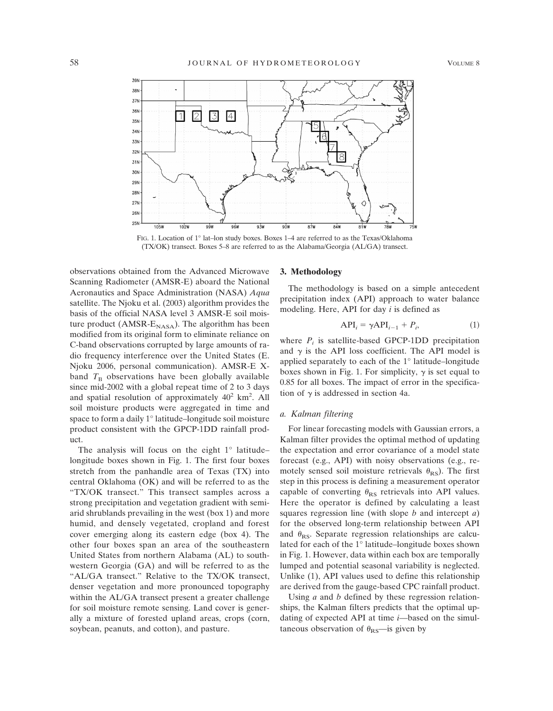

FIG. 1. Location of 1° lat–lon study boxes. Boxes 1–4 are referred to as the Texas/Oklahoma (TX/OK) transect. Boxes 5–8 are referred to as the Alabama/Georgia (AL/GA) transect.

observations obtained from the Advanced Microwave Scanning Radiometer (AMSR-E) aboard the National Aeronautics and Space Administration (NASA) *Aqua* satellite. The Njoku et al. (2003) algorithm provides the basis of the official NASA level 3 AMSR-E soil moisture product (AMSR- $E_{\text{NASA}}$ ). The algorithm has been modified from its original form to eliminate reliance on C-band observations corrupted by large amounts of radio frequency interference over the United States (E. Njoku 2006, personal communication). AMSR-E Xband  $T<sub>B</sub>$  observations have been globally available since mid-2002 with a global repeat time of 2 to 3 days and spatial resolution of approximately  $40^2$  km<sup>2</sup>. All soil moisture products were aggregated in time and space to form a daily 1° latitude–longitude soil moisture product consistent with the GPCP-1DD rainfall product.

The analysis will focus on the eight  $1^\circ$  latitude– longitude boxes shown in Fig. 1. The first four boxes stretch from the panhandle area of Texas (TX) into central Oklahoma (OK) and will be referred to as the "TX/OK transect." This transect samples across a strong precipitation and vegetation gradient with semiarid shrublands prevailing in the west (box 1) and more humid, and densely vegetated, cropland and forest cover emerging along its eastern edge (box 4). The other four boxes span an area of the southeastern United States from northern Alabama (AL) to southwestern Georgia (GA) and will be referred to as the "AL/GA transect." Relative to the TX/OK transect, denser vegetation and more pronounced topography within the AL/GA transect present a greater challenge for soil moisture remote sensing. Land cover is generally a mixture of forested upland areas, crops (corn, soybean, peanuts, and cotton), and pasture.

### **3. Methodology**

The methodology is based on a simple antecedent precipitation index (API) approach to water balance modeling. Here, API for day *i* is defined as

$$
API_i = \gamma API_{i-1} + P_i,\tag{1}
$$

where  $P_i$  is satellite-based GPCP-1DD precipitation and  $\gamma$  is the API loss coefficient. The API model is applied separately to each of the 1° latitude–longitude boxes shown in Fig. 1. For simplicity,  $\gamma$  is set equal to 0.85 for all boxes. The impact of error in the specification of  $\gamma$  is addressed in section 4a.

# *a. Kalman filtering*

For linear forecasting models with Gaussian errors, a Kalman filter provides the optimal method of updating the expectation and error covariance of a model state forecast (e.g., API) with noisy observations (e.g., remotely sensed soil moisture retrievals  $\theta_{RS}$ ). The first step in this process is defining a measurement operator capable of converting  $\theta_{RS}$  retrievals into API values. Here the operator is defined by calculating a least squares regression line (with slope *b* and intercept *a*) for the observed long-term relationship between API and  $\theta_{\text{RS}}$ . Separate regression relationships are calculated for each of the 1° latitude–longitude boxes shown in Fig. 1. However, data within each box are temporally lumped and potential seasonal variability is neglected. Unlike (1), API values used to define this relationship are derived from the gauge-based CPC rainfall product.

Using *a* and *b* defined by these regression relationships, the Kalman filters predicts that the optimal updating of expected API at time *i*—based on the simultaneous observation of  $\theta_{RS}$ —is given by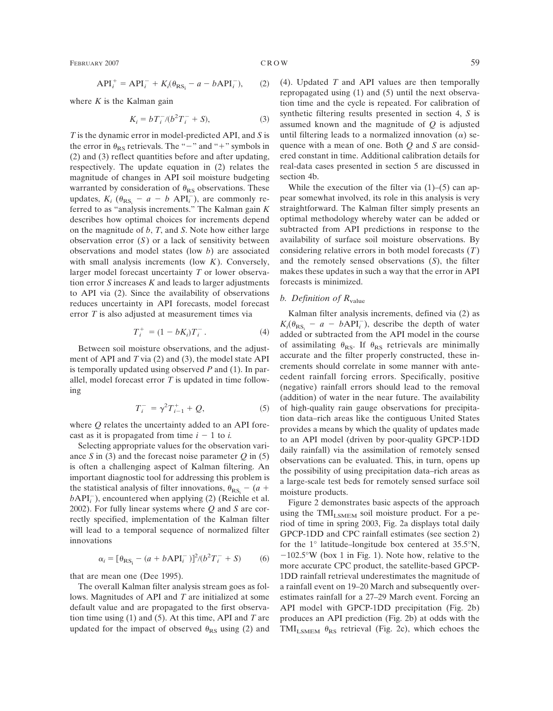FEBRUARY 2007 C R O W 59

$$
API_i^+ = API_i^- + K_i(\theta_{RS_i} - a - bAPI_i^-), \qquad (2)
$$

where  $K$  is the Kalman gain

$$
K_i = bT_i^-/(b^2T_i^- + S), \tag{3}
$$

*T* is the dynamic error in model-predicted API, and *S* is the error in  $\theta_{RS}$  retrievals. The "-" and "+" symbols in (2) and (3) reflect quantities before and after updating, respectively. The update equation in (2) relates the magnitude of changes in API soil moisture budgeting warranted by consideration of  $\theta_{RS}$  observations. These updates,  $K_i$  ( $\theta_{RS_i}$  –  $a - b$  API<sub>*i*</sub></sub>), are commonly referred to as "analysis increments." The Kalman gain *K* describes how optimal choices for increments depend on the magnitude of *b*, *T*, and *S*. Note how either large observation error (*S*) or a lack of sensitivity between observations and model states (low *b*) are associated with small analysis increments (low *K*). Conversely, larger model forecast uncertainty *T* or lower observation error *S* increases *K* and leads to larger adjustments to API via (2). Since the availability of observations reduces uncertainty in API forecasts, model forecast error *T* is also adjusted at measurement times via

$$
T_i^+ = (1 - bK_i)T_i^-.
$$
 (4)

Between soil moisture observations, and the adjustment of API and *T* via (2) and (3), the model state API is temporally updated using observed *P* and (1). In parallel, model forecast error *T* is updated in time following

$$
T_i^- = \gamma^2 T_{i-1}^+ + Q,\tag{5}
$$

where *Q* relates the uncertainty added to an API forecast as it is propagated from time  $i - 1$  to *i*.

Selecting appropriate values for the observation variance *S* in (3) and the forecast noise parameter  $Q$  in (5) is often a challenging aspect of Kalman filtering. An important diagnostic tool for addressing this problem is the statistical analysis of filter innovations,  $\theta_{RS}$  – (*a* +  $bAPI<sub>i</sub><sup>-</sup>$ ), encountered when applying (2) (Reichle et al. 2002). For fully linear systems where *Q* and *S* are correctly specified, implementation of the Kalman filter will lead to a temporal sequence of normalized filter innovations

$$
\alpha_i = [\theta_{RS_i} - (a + bAPI_i^-)]^2 / (b^2 T_i^- + S) \tag{6}
$$

that are mean one (Dee 1995).

The overall Kalman filter analysis stream goes as follows. Magnitudes of API and *T* are initialized at some default value and are propagated to the first observation time using (1) and (5). At this time, API and *T* are updated for the impact of observed  $\theta_{RS}$  using (2) and (4). Updated *T* and API values are then temporally repropagated using (1) and (5) until the next observation time and the cycle is repeated. For calibration of synthetic filtering results presented in section 4, *S* is assumed known and the magnitude of *Q* is adjusted until filtering leads to a normalized innovation  $(\alpha)$  sequence with a mean of one. Both *Q* and *S* are considered constant in time. Additional calibration details for real-data cases presented in section 5 are discussed in section 4b.

While the execution of the filter via  $(1)$ – $(5)$  can appear somewhat involved, its role in this analysis is very straightforward. The Kalman filter simply presents an optimal methodology whereby water can be added or subtracted from API predictions in response to the availability of surface soil moisture observations. By considering relative errors in both model forecasts (*T*) and the remotely sensed observations (*S*), the filter makes these updates in such a way that the error in API forecasts is minimized.

# *b. Definition of R*value

Kalman filter analysis increments, defined via (2) as  $K_i(\theta_{RS_i} - a - bAPI_i^-)$ , describe the depth of water added or subtracted from the API model in the course of assimilating  $\theta_{RS}$ . If  $\theta_{RS}$  retrievals are minimally accurate and the filter properly constructed, these increments should correlate in some manner with antecedent rainfall forcing errors. Specifically, positive (negative) rainfall errors should lead to the removal (addition) of water in the near future. The availability of high-quality rain gauge observations for precipitation data–rich areas like the contiguous United States provides a means by which the quality of updates made to an API model (driven by poor-quality GPCP-1DD daily rainfall) via the assimilation of remotely sensed observations can be evaluated. This, in turn, opens up the possibility of using precipitation data–rich areas as a large-scale test beds for remotely sensed surface soil moisture products.

Figure 2 demonstrates basic aspects of the approach using the  $\text{TMI}_{\text{LSMEM}}$  soil moisture product. For a period of time in spring 2003, Fig. 2a displays total daily GPCP-1DD and CPC rainfall estimates (see section 2) for the 1° latitude–longitude box centered at 35.5°N,  $-102.5\text{°W}$  (box 1 in Fig. 1). Note how, relative to the more accurate CPC product, the satellite-based GPCP-1DD rainfall retrieval underestimates the magnitude of a rainfall event on 19–20 March and subsequently overestimates rainfall for a 27–29 March event. Forcing an API model with GPCP-1DD precipitation (Fig. 2b) produces an API prediction (Fig. 2b) at odds with the TMI<sub>LSMEM</sub>  $\theta_{RS}$  retrieval (Fig. 2c), which echoes the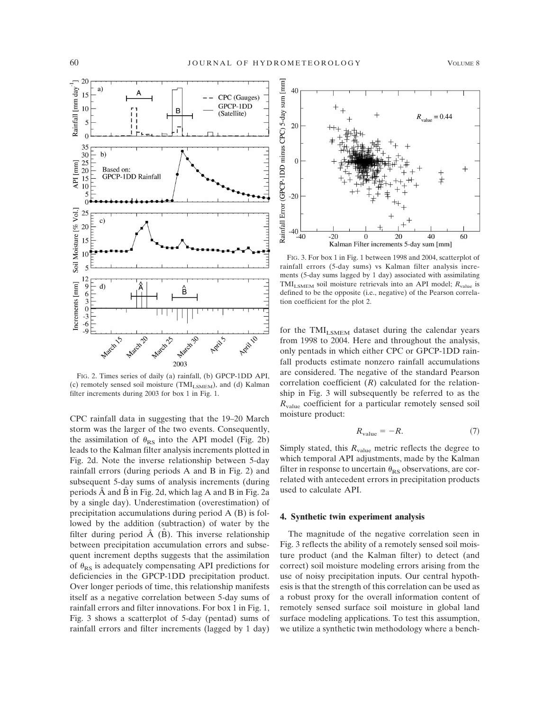

FIG. 2. Times series of daily (a) rainfall, (b) GPCP-1DD API, (c) remotely sensed soil moisture (TMI $_{\rm LSMEM}$ ), and (d) Kalman filter increments during 2003 for box 1 in Fig. 1.

CPC rainfall data in suggesting that the 19–20 March storm was the larger of the two events. Consequently, the assimilation of  $\theta_{RS}$  into the API model (Fig. 2b) leads to the Kalman filter analysis increments plotted in Fig. 2d. Note the inverse relationship between 5-day rainfall errors (during periods A and B in Fig. 2) and subsequent 5-day sums of analysis increments (during periods  $\hat{A}$  and  $\hat{B}$  in Fig. 2d, which lag A and B in Fig. 2a by a single day). Underestimation (overestimation) of precipitation accumulations during period A (B) is followed by the addition (subtraction) of water by the filter during period  $\hat{A}$  (B). This inverse relationship between precipitation accumulation errors and subsequent increment depths suggests that the assimilation of  $\theta_{RS}$  is adequately compensating API predictions for deficiencies in the GPCP-1DD precipitation product. Over longer periods of time, this relationship manifests itself as a negative correlation between 5-day sums of rainfall errors and filter innovations. For box 1 in Fig. 1, Fig. 3 shows a scatterplot of 5-day (pentad) sums of rainfall errors and filter increments (lagged by 1 day)



FIG. 3. For box 1 in Fig. 1 between 1998 and 2004, scatterplot of rainfall errors (5-day sums) vs Kalman filter analysis increments (5-day sums lagged by 1 day) associated with assimilating TMI<sub>LSMEM</sub> soil moisture retrievals into an API model;  $R_{value}$  is defined to be the opposite (i.e., negative) of the Pearson correlation coefficient for the plot 2.

for the TMI<sub>LSMEM</sub> dataset during the calendar years from 1998 to 2004. Here and throughout the analysis, only pentads in which either CPC or GPCP-1DD rainfall products estimate nonzero rainfall accumulations are considered. The negative of the standard Pearson correlation coefficient (*R*) calculated for the relationship in Fig. 3 will subsequently be referred to as the *R*value coefficient for a particular remotely sensed soil moisture product:

$$
R_{\text{value}} = -R. \tag{7}
$$

Simply stated, this  $R_{value}$  metric reflects the degree to which temporal API adjustments, made by the Kalman filter in response to uncertain  $\theta_{RS}$  observations, are correlated with antecedent errors in precipitation products used to calculate API.

## **4. Synthetic twin experiment analysis**

The magnitude of the negative correlation seen in Fig. 3 reflects the ability of a remotely sensed soil moisture product (and the Kalman filter) to detect (and correct) soil moisture modeling errors arising from the use of noisy precipitation inputs. Our central hypothesis is that the strength of this correlation can be used as a robust proxy for the overall information content of remotely sensed surface soil moisture in global land surface modeling applications. To test this assumption, we utilize a synthetic twin methodology where a bench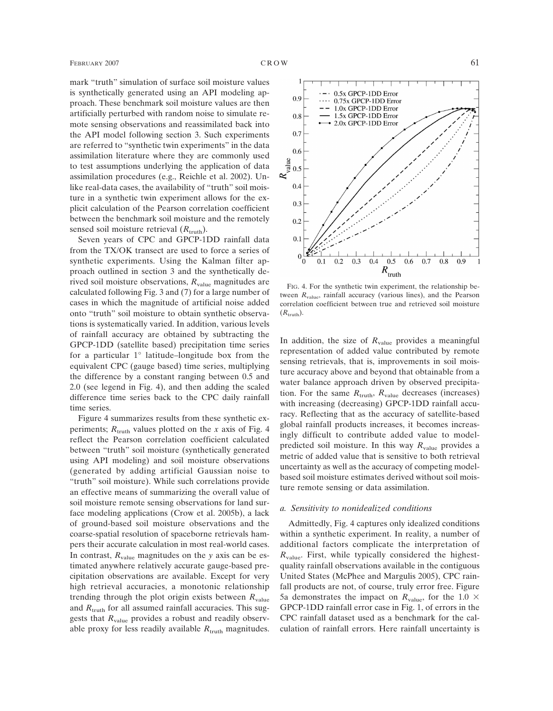mark "truth" simulation of surface soil moisture values is synthetically generated using an API modeling approach. These benchmark soil moisture values are then artificially perturbed with random noise to simulate remote sensing observations and reassimilated back into the API model following section 3. Such experiments are referred to "synthetic twin experiments" in the data assimilation literature where they are commonly used to test assumptions underlying the application of data assimilation procedures (e.g., Reichle et al. 2002). Unlike real-data cases, the availability of "truth" soil moisture in a synthetic twin experiment allows for the explicit calculation of the Pearson correlation coefficient between the benchmark soil moisture and the remotely sensed soil moisture retrieval  $(R<sub>truth</sub>)$ .

Seven years of CPC and GPCP-1DD rainfall data from the TX/OK transect are used to force a series of synthetic experiments. Using the Kalman filter approach outlined in section 3 and the synthetically derived soil moisture observations,  $R_{value}$  magnitudes are calculated following Fig. 3 and (7) for a large number of cases in which the magnitude of artificial noise added onto "truth" soil moisture to obtain synthetic observations is systematically varied. In addition, various levels of rainfall accuracy are obtained by subtracting the GPCP-1DD (satellite based) precipitation time series for a particular 1° latitude–longitude box from the equivalent CPC (gauge based) time series, multiplying the difference by a constant ranging between 0.5 and 2.0 (see legend in Fig. 4), and then adding the scaled difference time series back to the CPC daily rainfall time series.

Figure 4 summarizes results from these synthetic experiments;  $R_{\text{truth}}$  values plotted on the *x* axis of Fig. 4 reflect the Pearson correlation coefficient calculated between "truth" soil moisture (synthetically generated using API modeling) and soil moisture observations (generated by adding artificial Gaussian noise to "truth" soil moisture). While such correlations provide an effective means of summarizing the overall value of soil moisture remote sensing observations for land surface modeling applications (Crow et al. 2005b), a lack of ground-based soil moisture observations and the coarse-spatial resolution of spaceborne retrievals hampers their accurate calculation in most real-world cases. In contrast,  $R_{value}$  magnitudes on the *y* axis can be estimated anywhere relatively accurate gauge-based precipitation observations are available. Except for very high retrieval accuracies, a monotonic relationship trending through the plot origin exists between  $R_{value}$ and  $R_{\text{truth}}$  for all assumed rainfall accuracies. This suggests that  $R_{value}$  provides a robust and readily observable proxy for less readily available  $R_{\text{truth}}$  magnitudes.



FIG. 4. For the synthetic twin experiment, the relationship between  $R_{value}$ , rainfall accuracy (various lines), and the Pearson correlation coefficient between true and retrieved soil moisture  $(R_{\text{truth}})$ .

In addition, the size of  $R_{value}$  provides a meaningful representation of added value contributed by remote sensing retrievals, that is, improvements in soil moisture accuracy above and beyond that obtainable from a water balance approach driven by observed precipitation. For the same  $R_{\text{truth}}$ ,  $R_{\text{value}}$  decreases (increases) with increasing (decreasing) GPCP-1DD rainfall accuracy. Reflecting that as the accuracy of satellite-based global rainfall products increases, it becomes increasingly difficult to contribute added value to modelpredicted soil moisture. In this way *R*value provides a metric of added value that is sensitive to both retrieval uncertainty as well as the accuracy of competing modelbased soil moisture estimates derived without soil moisture remote sensing or data assimilation.

### *a. Sensitivity to nonidealized conditions*

Admittedly, Fig. 4 captures only idealized conditions within a synthetic experiment. In reality, a number of additional factors complicate the interpretation of  $R_{value}$ . First, while typically considered the highestquality rainfall observations available in the contiguous United States (McPhee and Margulis 2005), CPC rainfall products are not, of course, truly error free. Figure 5a demonstrates the impact on  $R_{value}$ , for the 1.0  $\times$ GPCP-1DD rainfall error case in Fig. 1, of errors in the CPC rainfall dataset used as a benchmark for the calculation of rainfall errors. Here rainfall uncertainty is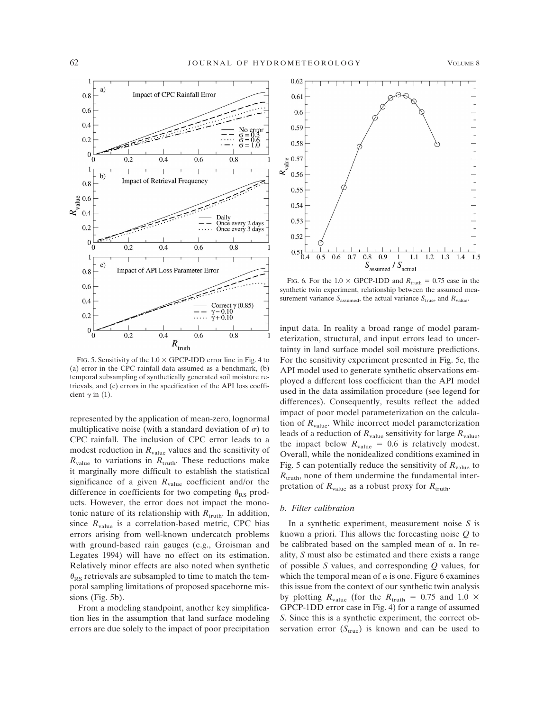

FIG. 5. Sensitivity of the  $1.0 \times$  GPCP-IDD error line in Fig. 4 to (a) error in the CPC rainfall data assumed as a benchmark, (b) temporal subsampling of synthetically generated soil moisture retrievals, and (c) errors in the specification of the API loss coefficient  $\gamma$  in (1).

represented by the application of mean-zero, lognormal multiplicative noise (with a standard deviation of  $\sigma$ ) to CPC rainfall. The inclusion of CPC error leads to a modest reduction in  $R_{value}$  values and the sensitivity of  $R_{value}$  to variations in  $R_{truth}$ . These reductions make it marginally more difficult to establish the statistical significance of a given  $R_{value}$  coefficient and/or the difference in coefficients for two competing  $\theta_{RS}$  products. However, the error does not impact the monotonic nature of its relationship with  $R_{\text{truth}}$ . In addition, since  $R_{value}$  is a correlation-based metric, CPC bias errors arising from well-known undercatch problems with ground-based rain gauges (e.g., Groisman and Legates 1994) will have no effect on its estimation. Relatively minor effects are also noted when synthetic  $\theta_{RS}$  retrievals are subsampled to time to match the temporal sampling limitations of proposed spaceborne missions (Fig. 5b).

From a modeling standpoint, another key simplification lies in the assumption that land surface modeling errors are due solely to the impact of poor precipitation



FIG. 6. For the  $1.0 \times$  GPCP-1DD and  $R_{\text{truth}} = 0.75$  case in the synthetic twin experiment, relationship between the assumed measurement variance  $S_{\text{assumed}}$ , the actual variance  $S_{\text{true}}$ , and  $R_{\text{value}}$ .

input data. In reality a broad range of model parameterization, structural, and input errors lead to uncertainty in land surface model soil moisture predictions. For the sensitivity experiment presented in Fig. 5c, the API model used to generate synthetic observations employed a different loss coefficient than the API model used in the data assimilation procedure (see legend for differences). Consequently, results reflect the added impact of poor model parameterization on the calculation of  $R_{value}$ . While incorrect model parameterization leads of a reduction of  $R_{value}$  sensitivity for large  $R_{value}$ , the impact below  $R_{value} = 0.6$  is relatively modest. Overall, while the nonidealized conditions examined in Fig. 5 can potentially reduce the sensitivity of  $R_{value}$  to  $R_{\text{truth}}$ , none of them undermine the fundamental interpretation of  $R_{value}$  as a robust proxy for  $R_{truth}$ .

# *b. Filter calibration*

In a synthetic experiment, measurement noise *S* is known a priori. This allows the forecasting noise *Q* to be calibrated based on the sampled mean of  $\alpha$ . In reality, *S* must also be estimated and there exists a range of possible *S* values, and corresponding *Q* values, for which the temporal mean of  $\alpha$  is one. Figure 6 examines this issue from the context of our synthetic twin analysis by plotting  $R_{value}$  (for the  $R_{truth} = 0.75$  and 1.0  $\times$ GPCP-1DD error case in Fig. 4) for a range of assumed *S*. Since this is a synthetic experiment, the correct observation error  $(S_{true})$  is known and can be used to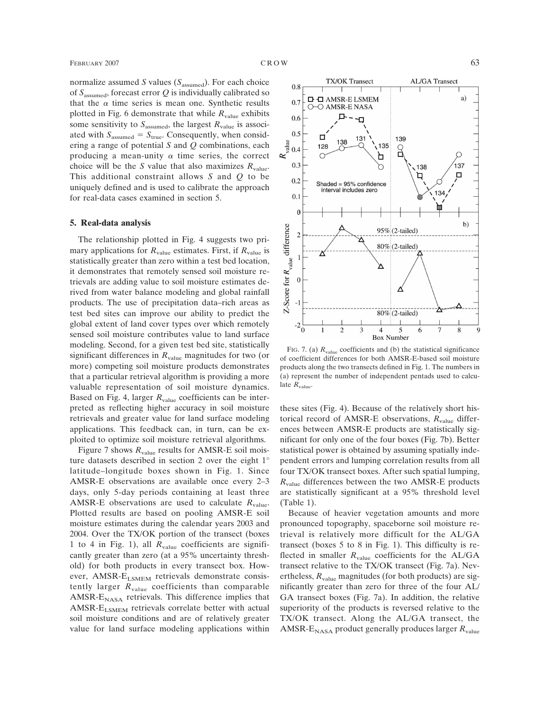normalize assumed *S* values (*S*assumed). For each choice of *S*assumed, forecast error *Q* is individually calibrated so that the  $\alpha$  time series is mean one. Synthetic results plotted in Fig. 6 demonstrate that while  $R_{value}$  exhibits some sensitivity to  $S_{\text{assumed}}$ , the largest  $R_{\text{value}}$  is associated with  $S_{\text{assumed}} = S_{\text{true}}$ . Consequently, when considering a range of potential *S* and *Q* combinations, each producing a mean-unity  $\alpha$  time series, the correct choice will be the *S* value that also maximizes  $R_{value}$ . This additional constraint allows *S* and *Q* to be uniquely defined and is used to calibrate the approach for real-data cases examined in section 5.

#### **5. Real-data analysis**

The relationship plotted in Fig. 4 suggests two primary applications for  $R_{value}$  estimates. First, if  $R_{value}$  is statistically greater than zero within a test bed location, it demonstrates that remotely sensed soil moisture retrievals are adding value to soil moisture estimates derived from water balance modeling and global rainfall products. The use of precipitation data–rich areas as test bed sites can improve our ability to predict the global extent of land cover types over which remotely sensed soil moisture contributes value to land surface modeling. Second, for a given test bed site, statistically significant differences in  $R_{value}$  magnitudes for two (or more) competing soil moisture products demonstrates that a particular retrieval algorithm is providing a more valuable representation of soil moisture dynamics. Based on Fig. 4, larger  $R_{value}$  coefficients can be interpreted as reflecting higher accuracy in soil moisture retrievals and greater value for land surface modeling applications. This feedback can, in turn, can be exploited to optimize soil moisture retrieval algorithms.

Figure 7 shows  $R_{value}$  results for AMSR-E soil moisture datasets described in section 2 over the eight 1° latitude–longitude boxes shown in Fig. 1. Since AMSR-E observations are available once every 2–3 days, only 5-day periods containing at least three AMSR-E observations are used to calculate  $R_{value}$ . Plotted results are based on pooling AMSR-E soil moisture estimates during the calendar years 2003 and 2004. Over the TX/OK portion of the transect (boxes 1 to 4 in Fig. 1), all *R*value coefficients are significantly greater than zero (at a 95% uncertainty threshold) for both products in every transect box. However, AMSR-ELSMEM retrievals demonstrate consistently larger  $R_{value}$  coefficients than comparable AMSR- $E_{\text{NASA}}$  retrievals. This difference implies that AMSR- $E_{LSMEM}$  retrievals correlate better with actual soil moisture conditions and are of relatively greater value for land surface modeling applications within



FIG. 7. (a)  $R_{value}$  coefficients and (b) the statistical significance of coefficient differences for both AMSR-E-based soil moisture products along the two transects defined in Fig. 1. The numbers in (a) represent the number of independent pentads used to calculate  $R_{value}$ .

these sites (Fig. 4). Because of the relatively short historical record of AMSR-E observations,  $R_{value}$  differences between AMSR-E products are statistically significant for only one of the four boxes (Fig. 7b). Better statistical power is obtained by assuming spatially independent errors and lumping correlation results from all four TX/OK transect boxes. After such spatial lumping,  $R_{value}$  differences between the two AMSR-E products are statistically significant at a 95% threshold level (Table 1).

Because of heavier vegetation amounts and more pronounced topography, spaceborne soil moisture retrieval is relatively more difficult for the AL/GA transect (boxes 5 to 8 in Fig. 1). This difficulty is reflected in smaller  $R_{value}$  coefficients for the AL/GA transect relative to the TX/OK transect (Fig. 7a). Nevertheless,  $R_{value}$  magnitudes (for both products) are significantly greater than zero for three of the four AL/ GA transect boxes (Fig. 7a). In addition, the relative superiority of the products is reversed relative to the TX/OK transect. Along the AL/GA transect, the AMSR- $E_{\text{NASA}}$  product generally produces larger  $R_{\text{value}}$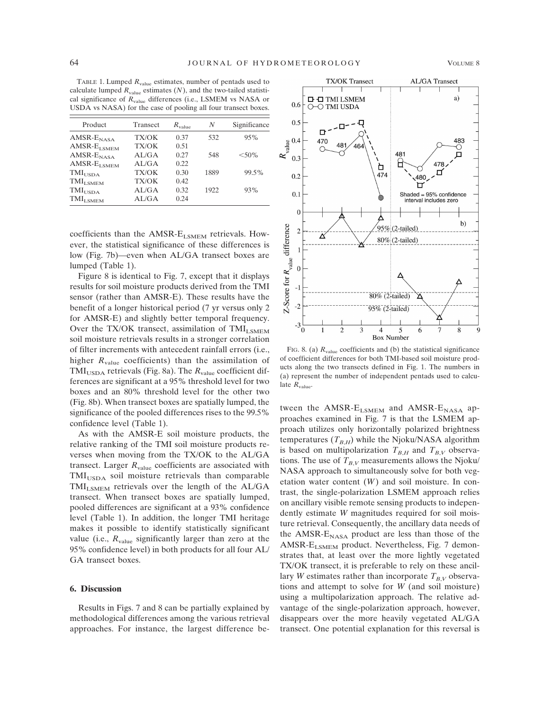TABLE 1. Lumped  $R_{value}$  estimates, number of pentads used to calculate lumped  $R_{value}$  estimates  $(N)$ , and the two-tailed statistical significance of *R*value differences (i.e., LSMEM vs NASA or USDA vs NASA) for the case of pooling all four transect boxes.

| Product                                | Transect | $R_{value}$ | N    | Significance |
|----------------------------------------|----------|-------------|------|--------------|
| $AMSR-ENASA$                           | TX/OK    | 0.37        | 532  | 95%          |
| $AMSR$ - $E_{LSMEM}$                   | TX/OK    | 0.51        |      |              |
| $AMSR-ENASA$                           | AL/GA    | 0.27        | 548  | $< 50\%$     |
| $\operatorname{AMSR-E}_\mathrm{LSMEM}$ | AL/GA    | 0.22        |      |              |
| $\text{TMI}_\text{USDA}$               | TX/OK    | 0.30        | 1889 | 99.5%        |
| $\text{TMI}_{\text{LSMEM}}$            | TX/OK    | 0.42        |      |              |
| $\text{TMI}_\text{USDA}$               | AL/GA    | 0.32        | 1922 | 93%          |
| $TMI_{I. \text{SMEM}}$                 | AI/GA    | 0.24        |      |              |
|                                        |          |             |      |              |

coefficients than the AMSR-ELSMEM retrievals. However, the statistical significance of these differences is low (Fig. 7b)—even when AL/GA transect boxes are lumped (Table 1).

Figure 8 is identical to Fig. 7, except that it displays results for soil moisture products derived from the TMI sensor (rather than AMSR-E). These results have the benefit of a longer historical period (7 yr versus only 2 for AMSR-E) and slightly better temporal frequency. Over the TX/OK transect, assimilation of TMI<sub>LSMEM</sub> soil moisture retrievals results in a stronger correlation of filter increments with antecedent rainfall errors (i.e., higher  $R_{value}$  coefficients) than the assimilation of  $\text{TMI}_{\text{LISDA}}$  retrievals (Fig. 8a). The  $R_{\text{value}}$  coefficient differences are significant at a 95% threshold level for two boxes and an 80% threshold level for the other two (Fig. 8b). When transect boxes are spatially lumped, the significance of the pooled differences rises to the 99.5% confidence level (Table 1).

As with the AMSR-E soil moisture products, the relative ranking of the TMI soil moisture products reverses when moving from the TX/OK to the AL/GA transect. Larger  $R_{value}$  coefficients are associated with TMI<sub>USDA</sub> soil moisture retrievals than comparable  $\text{TMI}_{\text{I SMEM}}$  retrievals over the length of the AL/GA transect. When transect boxes are spatially lumped, pooled differences are significant at a 93% confidence level (Table 1). In addition, the longer TMI heritage makes it possible to identify statistically significant value (i.e.,  $R_{value}$  significantly larger than zero at the 95% confidence level) in both products for all four AL/ GA transect boxes.

### **6. Discussion**

Results in Figs. 7 and 8 can be partially explained by methodological differences among the various retrieval approaches. For instance, the largest difference be-



FIG. 8. (a)  $R_{value}$  coefficients and (b) the statistical significance of coefficient differences for both TMI-based soil moisture products along the two transects defined in Fig. 1. The numbers in (a) represent the number of independent pentads used to calculate  $R_{value}$ .

tween the AMSR- $E_{LSMEM}$  and AMSR- $E_{NASA}$  approaches examined in Fig. 7 is that the LSMEM approach utilizes only horizontally polarized brightness temperatures  $(T_{B,H})$  while the Njoku/NASA algorithm is based on multipolarization  $T_{B,H}$  and  $T_{B,V}$  observations. The use of  $T_{B,V}$  measurements allows the Njoku/ NASA approach to simultaneously solve for both vegetation water content (*W*) and soil moisture. In contrast, the single-polarization LSMEM approach relies on ancillary visible remote sensing products to independently estimate *W* magnitudes required for soil moisture retrieval. Consequently, the ancillary data needs of the AMSR- $E_{NASA}$  product are less than those of the AMSR- $E_{LSMEM}$  product. Nevertheless, Fig. 7 demonstrates that, at least over the more lightly vegetated TX/OK transect, it is preferable to rely on these ancillary *W* estimates rather than incorporate  $T_{BV}$  observations and attempt to solve for *W* (and soil moisture) using a multipolarization approach. The relative advantage of the single-polarization approach, however, disappears over the more heavily vegetated AL/GA transect. One potential explanation for this reversal is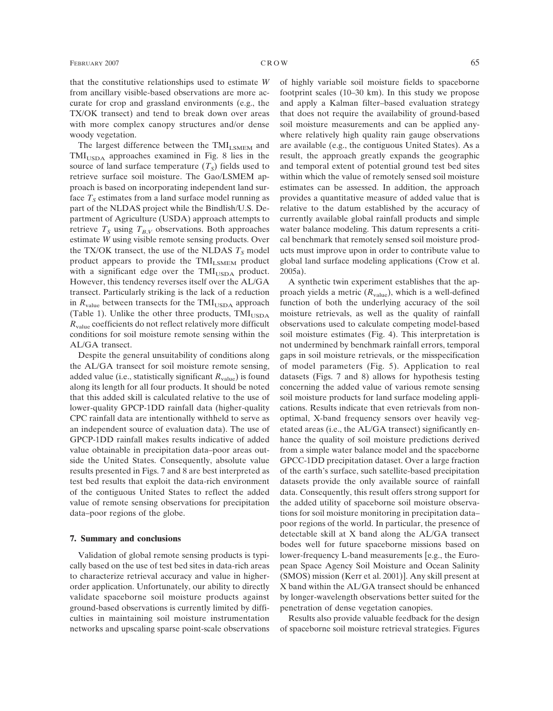that the constitutive relationships used to estimate *W* from ancillary visible-based observations are more accurate for crop and grassland environments (e.g., the TX/OK transect) and tend to break down over areas with more complex canopy structures and/or dense woody vegetation.

The largest difference between the TMI<sub>LSMEM</sub> and TMI<sub>USDA</sub> approaches examined in Fig. 8 lies in the source of land surface temperature  $(T<sub>S</sub>)$  fields used to retrieve surface soil moisture. The Gao/LSMEM approach is based on incorporating independent land surface  $T<sub>S</sub>$  estimates from a land surface model running as part of the NLDAS project while the Bindlish/U.S. Department of Agriculture (USDA) approach attempts to retrieve  $T<sub>S</sub>$  using  $T<sub>BV</sub>$  observations. Both approaches estimate *W* using visible remote sensing products. Over the TX/OK transect, the use of the NLDAS  $T<sub>S</sub>$  model product appears to provide the TMI<sub>LSMEM</sub> product with a significant edge over the  $\text{TMI}_{\text{USDA}}$  product. However, this tendency reverses itself over the AL/GA transect. Particularly striking is the lack of a reduction in  $R_{value}$  between transects for the TMI<sub>USDA</sub> approach (Table 1). Unlike the other three products,  $\text{TMI}_{\text{USDA}}$ *R*value coefficients do not reflect relatively more difficult conditions for soil moisture remote sensing within the AL/GA transect.

Despite the general unsuitability of conditions along the AL/GA transect for soil moisture remote sensing, added value (i.e., statistically significant  $R_{value}$ ) is found along its length for all four products. It should be noted that this added skill is calculated relative to the use of lower-quality GPCP-1DD rainfall data (higher-quality CPC rainfall data are intentionally withheld to serve as an independent source of evaluation data). The use of GPCP-1DD rainfall makes results indicative of added value obtainable in precipitation data–poor areas outside the United States. Consequently, absolute value results presented in Figs. 7 and 8 are best interpreted as test bed results that exploit the data-rich environment of the contiguous United States to reflect the added value of remote sensing observations for precipitation data–poor regions of the globe.

## **7. Summary and conclusions**

Validation of global remote sensing products is typically based on the use of test bed sites in data-rich areas to characterize retrieval accuracy and value in higherorder application. Unfortunately, our ability to directly validate spaceborne soil moisture products against ground-based observations is currently limited by difficulties in maintaining soil moisture instrumentation networks and upscaling sparse point-scale observations of highly variable soil moisture fields to spaceborne footprint scales (10–30 km). In this study we propose and apply a Kalman filter–based evaluation strategy that does not require the availability of ground-based soil moisture measurements and can be applied anywhere relatively high quality rain gauge observations are available (e.g., the contiguous United States). As a result, the approach greatly expands the geographic and temporal extent of potential ground test bed sites within which the value of remotely sensed soil moisture estimates can be assessed. In addition, the approach provides a quantitative measure of added value that is relative to the datum established by the accuracy of currently available global rainfall products and simple water balance modeling. This datum represents a critical benchmark that remotely sensed soil moisture products must improve upon in order to contribute value to global land surface modeling applications (Crow et al. 2005a).

A synthetic twin experiment establishes that the approach yields a metric  $(R_{value})$ , which is a well-defined function of both the underlying accuracy of the soil moisture retrievals, as well as the quality of rainfall observations used to calculate competing model-based soil moisture estimates (Fig. 4). This interpretation is not undermined by benchmark rainfall errors, temporal gaps in soil moisture retrievals, or the misspecification of model parameters (Fig. 5). Application to real datasets (Figs. 7 and 8) allows for hypothesis testing concerning the added value of various remote sensing soil moisture products for land surface modeling applications. Results indicate that even retrievals from nonoptimal, X-band frequency sensors over heavily vegetated areas (i.e., the AL/GA transect) significantly enhance the quality of soil moisture predictions derived from a simple water balance model and the spaceborne GPCC-1DD precipitation dataset. Over a large fraction of the earth's surface, such satellite-based precipitation datasets provide the only available source of rainfall data. Consequently, this result offers strong support for the added utility of spaceborne soil moisture observations for soil moisture monitoring in precipitation data– poor regions of the world. In particular, the presence of detectable skill at X band along the AL/GA transect bodes well for future spaceborne missions based on lower-frequency L-band measurements [e.g., the European Space Agency Soil Moisture and Ocean Salinity (SMOS) mission (Kerr et al. 2001)]. Any skill present at X band within the AL/GA transect should be enhanced by longer-wavelength observations better suited for the penetration of dense vegetation canopies.

Results also provide valuable feedback for the design of spaceborne soil moisture retrieval strategies. Figures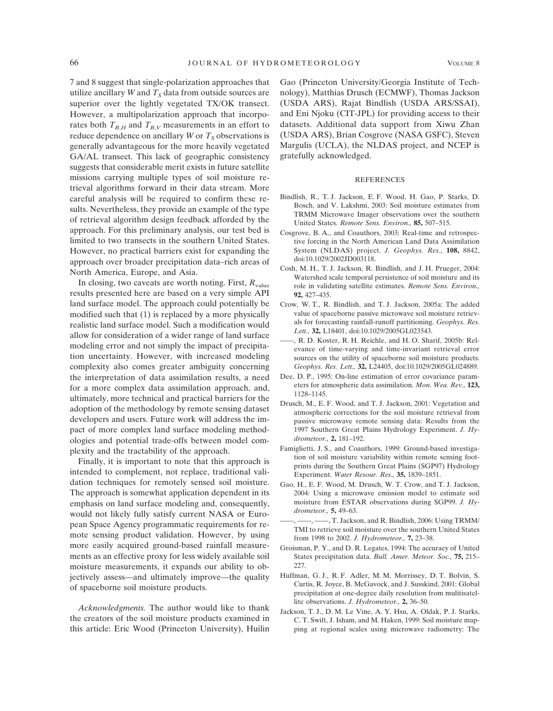7 and 8 suggest that single-polarization approaches that utilize ancillary *W* and  $T<sub>S</sub>$  data from outside sources are superior over the lightly vegetated TX/OK transect. However, a multipolarization approach that incorporates both  $T_{B,H}$  and  $T_{B,V}$  measurements in an effort to reduce dependence on ancillary *W* or  $T<sub>S</sub>$  observations is generally advantageous for the more heavily vegetated GA/AL transect. This lack of geographic consistency suggests that considerable merit exists in future satellite missions carrying multiple types of soil moisture retrieval algorithms forward in their data stream. More careful analysis will be required to confirm these results. Nevertheless, they provide an example of the type of retrieval algorithm design feedback afforded by the approach. For this preliminary analysis, our test bed is limited to two transects in the southern United States. However, no practical barriers exist for expanding the approach over broader precipitation data–rich areas of North America, Europe, and Asia.

In closing, two caveats are worth noting. First,  $R_{value}$ results presented here are based on a very simple API land surface model. The approach could potentially be modified such that (1) is replaced by a more physically realistic land surface model. Such a modification would allow for consideration of a wider range of land surface modeling error and not simply the impact of precipitation uncertainty. However, with increased modeling complexity also comes greater ambiguity concerning the interpretation of data assimilation results, a need for a more complex data assimilation approach, and, ultimately, more technical and practical barriers for the adoption of the methodology by remote sensing dataset developers and users. Future work will address the impact of more complex land surface modeling methodologies and potential trade-offs between model complexity and the tractability of the approach.

Finally, it is important to note that this approach is intended to complement, not replace, traditional validation techniques for remotely sensed soil moisture. The approach is somewhat application dependent in its emphasis on land surface modeling and, consequently, would not likely fully satisfy current NASA or European Space Agency programmatic requirements for remote sensing product validation. However, by using more easily acquired ground-based rainfall measurements as an effective proxy for less widely available soil moisture measurements, it expands our ability to objectively assess—and ultimately improve—the quality of spaceborne soil moisture products.

*Acknowledgments.* The author would like to thank the creators of the soil moisture products examined in this article: Eric Wood (Princeton University), Huilin

Gao (Princeton University/Georgia Institute of Technology), Matthias Drusch (ECMWF), Thomas Jackson (USDA ARS), Rajat Bindlish (USDA ARS/SSAI), and Eni Njoku (CIT-JPL) for providing access to their datasets. Additional data support from Xiwu Zhan (USDA ARS), Brian Cosgrove (NASA GSFC), Steven Margulis (UCLA), the NLDAS project, and NCEP is gratefully acknowledged.

#### REFERENCES

- Bindlish, R., T. J. Jackson, E. F. Wood, H. Gao, P. Starks, D. Bosch, and V. Lakshmi, 2003: Soil moisture estimates from TRMM Microwave Imager observations over the southern United States. *Remote Sens. Environ.,* **85,** 507–515.
- Cosgrove, B. A., and Coauthors, 2003: Real-time and retrospective forcing in the North American Land Data Assimilation System (NLDAS) project. *J. Geophys. Res.,* **108,** 8842, doi:10.1029/2002JD003118.
- Cosh, M. H., T. J. Jackson, R. Bindlish, and J. H. Prueger, 2004: Watershed scale temporal persistence of soil moisture and its role in validating satellite estimates. *Remote Sens. Environ.,* **92,** 427–435.
- Crow, W. T., R. Bindlish, and T. J. Jackson, 2005a: The added value of spaceborne passive microwave soil moisture retrievals for forecasting rainfall-runoff partitioning. *Geophys. Res. Lett.,* **32,** L18401, doi:10.1029/2005GL023543.
- ——, R. D. Koster, R. H. Reichle, and H. O. Sharif, 2005b: Relevance of time-varying and time-invariant retrieval error sources on the utility of spaceborne soil moisture products. *Geophys. Res. Lett.,* **32,** L24405, doi:10.1029/2005GL024889.
- Dee, D. P., 1995: On-line estimation of error covariance parameters for atmospheric data assimilation. *Mon. Wea. Rev.,* **123,** 1128–1145.
- Drusch, M., E. F. Wood, and T. J. Jackson, 2001: Vegetation and atmospheric corrections for the soil moisture retrieval from passive microwave remote sensing data: Results from the 1997 Southern Great Plains Hydrology Experiment. *J. Hydrometeor.,* **2,** 181–192.
- Famiglietti, J. S., and Coauthors, 1999: Ground-based investigation of soil moisture variability within remote sensing footprints during the Southern Great Plains (SGP97) Hydrology Experiment. *Water Resour. Res.,* **35,** 1839–1851.
- Gao, H., E. F. Wood, M. Drusch, W. T. Crow, and T. J. Jackson, 2004: Using a microwave emission model to estimate soil moisture from ESTAR observations during SGP99. *J. Hydrometeor.,* **5,** 49–63.
- ——, ——, ——, T. Jackson, and R. Bindlish, 2006: Using TRMM/ TMI to retrieve soil moisture over the southern United States from 1998 to 2002. *J. Hydrometeor.,* **7,** 23–38.
- Groisman, P. Y., and D. R. Legates, 1994: The accuracy of United States precipitation data. *Bull. Amer. Meteor. Soc.,* **75,** 215– 227.
- Huffman, G. J., R. F. Adler, M. M. Morrissey, D. T. Bolvin, S. Curtis, R. Joyce, B. McGavock, and J. Susskind, 2001: Global precipitation at one-degree daily resolution from mulitisatellite observations. *J. Hydrometeor.,* **2,** 36–50.
- Jackson, T. J., D. M. Le Vine, A. Y. Hsu, A. Oldak, P. J. Starks, C. T. Swift, J. Isham, and M. Haken, 1999: Soil moisture mapping at regional scales using microwave radiometry: The